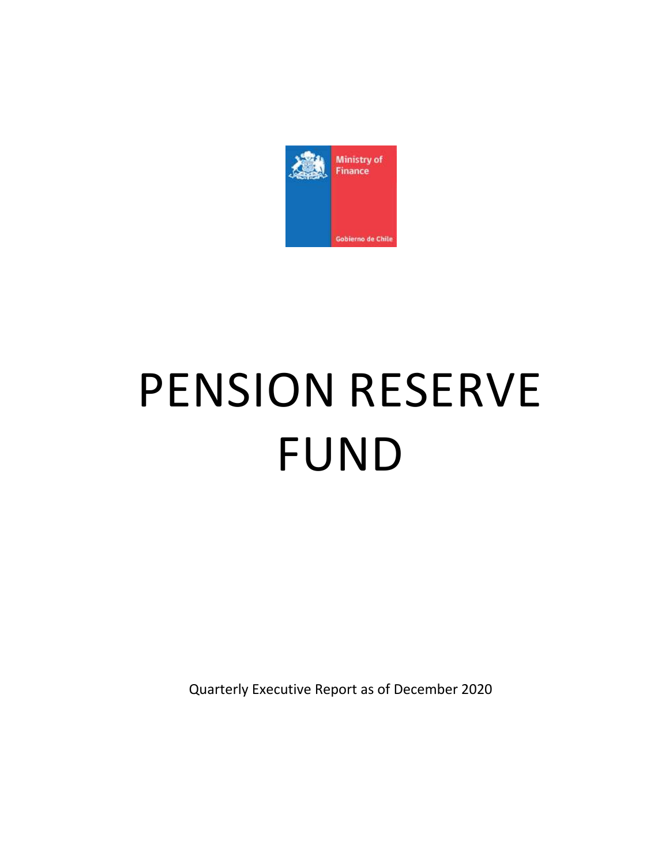

# PENSION RESERVE FUND

Quarterly Executive Report as of December 2020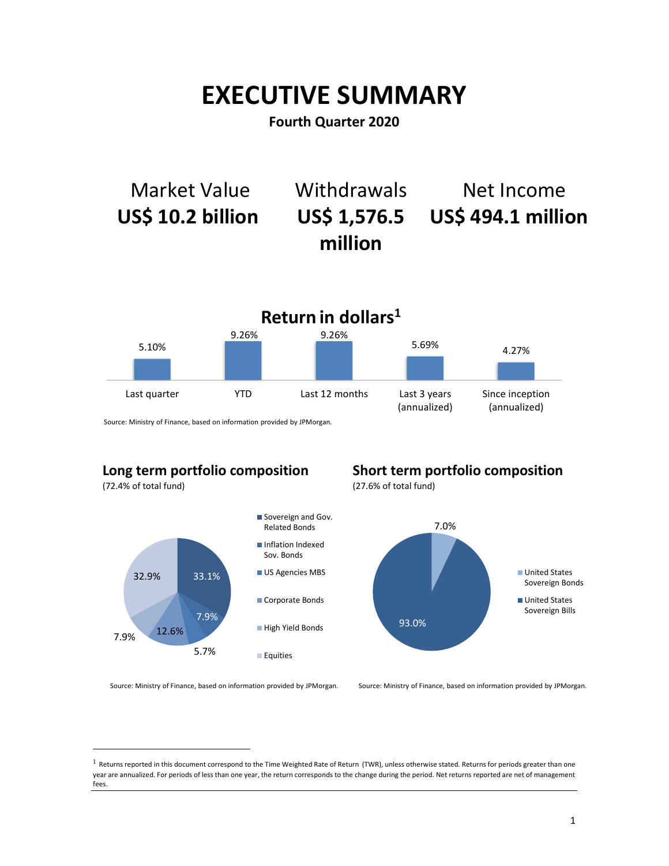## **EXECUTIVE SUMMARY**

**Fourth Quarter 2020**



Source: Ministry of Finance, based on information provided by JPMorgan.

## **Long term portfolio composition**

(72.4% of total fund)

 $\overline{a}$ 



**Short term portfolio composition**

(27.6% of total fund)



Source: Ministry of Finance, based on information provided by JPMorgan.

 $1$  Returns reported in this document correspond to the Time Weighted Rate of Return (TWR), unless otherwise stated. Returns for periods greater than one year are annualized. For periods of less than one year, the return corresponds to the change during the period. Net returns reported are net of management fees.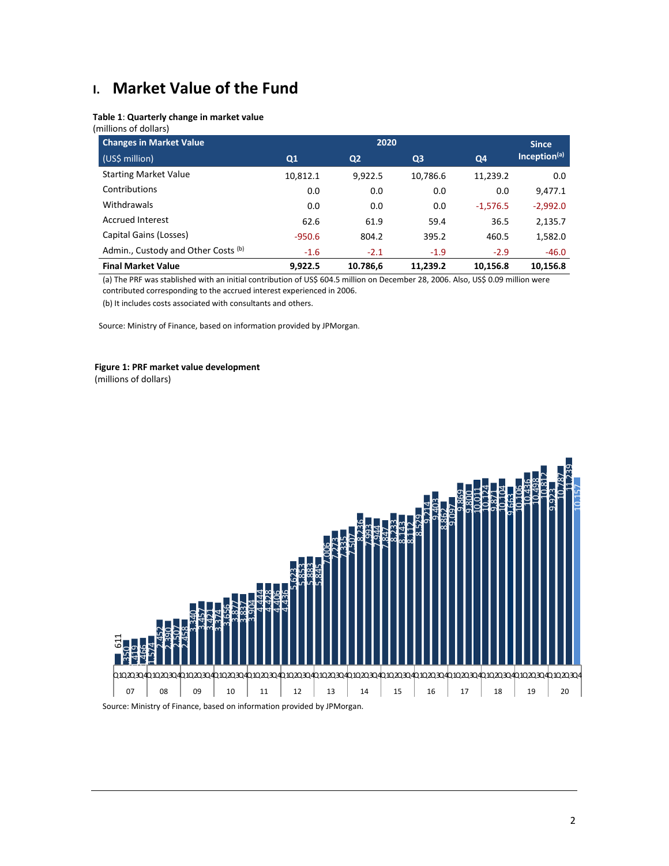## **I. Market Value of the Fund**

## **Table 1**: **Quarterly change in market value**

(millions of dollars)

| <b>Changes in Market Value</b>      |                | 2020           |                |            | <b>Since</b>             |
|-------------------------------------|----------------|----------------|----------------|------------|--------------------------|
| (US\$ million)                      | Q <sub>1</sub> | Q <sub>2</sub> | Q <sub>3</sub> | Q4         | Inception <sup>(a)</sup> |
| <b>Starting Market Value</b>        | 10,812.1       | 9,922.5        | 10,786.6       | 11,239.2   | 0.0                      |
| Contributions                       | 0.0            | 0.0            | 0.0            | 0.0        | 9,477.1                  |
| Withdrawals                         | 0.0            | 0.0            | 0.0            | $-1,576.5$ | $-2,992.0$               |
| <b>Accrued Interest</b>             | 62.6           | 61.9           | 59.4           | 36.5       | 2,135.7                  |
| Capital Gains (Losses)              | $-950.6$       | 804.2          | 395.2          | 460.5      | 1,582.0                  |
| Admin., Custody and Other Costs (b) | $-1.6$         | $-2.1$         | $-1.9$         | $-2.9$     | $-46.0$                  |
| <b>Final Market Value</b>           | 9.922.5        | 10.786,6       | 11.239.2       | 10.156.8   | 10.156.8                 |

(a) The PRF was stablished with an initial contribution of US\$ 604.5 million on December 28, 2006. Also, US\$ 0.09 million were contributed corresponding to the accrued interest experienced in 2006.

(b) It includes costs associated with consultants and others.

Source: Ministry of Finance, based on information provided by JPMorgan.

### **Figure 1: PRF market value development**

(millions of dollars)

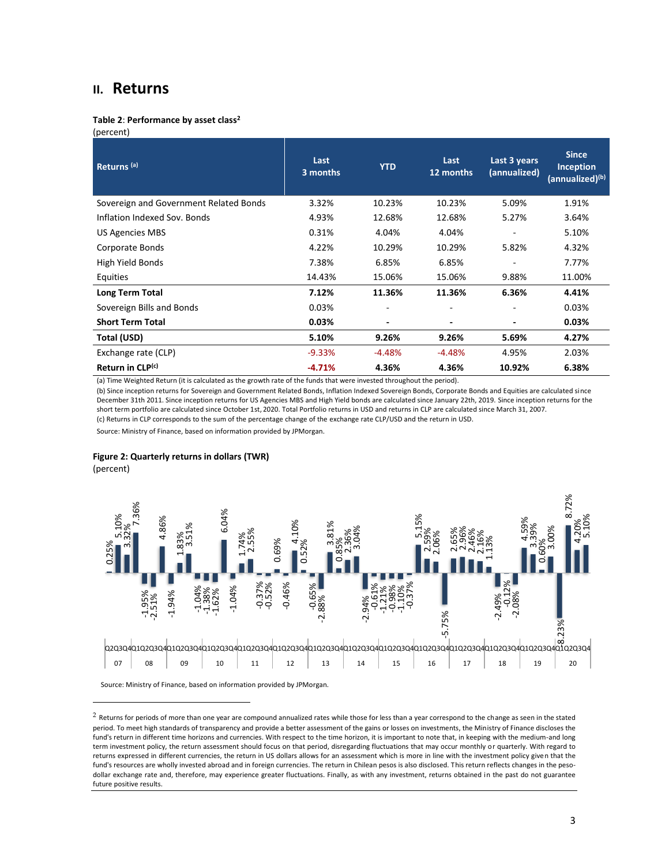## **II. Returns**

#### **Table 2**: **Performance by asset class<sup>2</sup>**

(percent)

| Returns <sup>(a)</sup>                 | Last<br>3 months | <b>YTD</b>               | Last<br>12 months | Last 3 years<br>(annualized) | <b>Since</b><br><b>Inception</b><br>(annualized) <sup>(b)</sup> |
|----------------------------------------|------------------|--------------------------|-------------------|------------------------------|-----------------------------------------------------------------|
| Sovereign and Government Related Bonds | 3.32%            | 10.23%                   | 10.23%            | 5.09%                        | 1.91%                                                           |
| Inflation Indexed Sov. Bonds           | 4.93%            | 12.68%                   | 12.68%            | 5.27%                        | 3.64%                                                           |
| US Agencies MBS                        | 0.31%            | 4.04%                    | 4.04%             |                              | 5.10%                                                           |
| Corporate Bonds                        | 4.22%            | 10.29%                   | 10.29%            | 5.82%                        | 4.32%                                                           |
| High Yield Bonds                       | 7.38%            | 6.85%                    | 6.85%             |                              | 7.77%                                                           |
| Equities                               | 14.43%           | 15.06%                   | 15.06%            | 9.88%                        | 11.00%                                                          |
| Long Term Total                        | 7.12%            | 11.36%                   | 11.36%            | 6.36%                        | 4.41%                                                           |
| Sovereign Bills and Bonds              | 0.03%            | $\overline{a}$           |                   |                              | 0.03%                                                           |
| <b>Short Term Total</b>                | 0.03%            | $\overline{\phantom{a}}$ |                   |                              | 0.03%                                                           |
| Total (USD)                            | 5.10%            | 9.26%                    | 9.26%             | 5.69%                        | 4.27%                                                           |
| Exchange rate (CLP)                    | $-9.33%$         | $-4.48%$                 | $-4.48%$          | 4.95%                        | 2.03%                                                           |
| Return in CLP(c)                       | $-4.71%$         | 4.36%                    | 4.36%             | 10.92%                       | 6.38%                                                           |

(a) Time Weighted Return (it is calculated as the growth rate of the funds that were invested throughout the period).

(b) Since inception returns for Sovereign and Government Related Bonds, Inflation Indexed Sovereign Bonds, Corporate Bonds and Equities are calculated since December 31th 2011. Since inception returns for US Agencies MBS and High Yield bonds are calculated since January 22th, 2019. Since inception returns for the short term portfolio are calculated since October 1st, 2020. Total Portfolio returns in USD and returns in CLP are calculated since March 31, 2007.

(c) Returns in CLP corresponds to the sum of the percentage change of the exchange rate CLP/USD and the return in USD.

Source: Ministry of Finance, based on information provided by JPMorgan.

#### **Figure 2: Quarterly returns in dollars (TWR)**

(percent)

 $\overline{a}$ 



 $2$  Returns for periods of more than one year are compound annualized rates while those for less than a year correspond to the change as seen in the stated period. To meet high standards of transparency and provide a better assessment of the gains or losses on investments, the Ministry of Finance discloses the fund's return in different time horizons and currencies. With respect to the time horizon, it is important to note that, in keeping with the medium-and long term investment policy, the return assessment should focus on that period, disregarding fluctuations that may occur monthly or quarterly. With regard to returns expressed in different currencies, the return in US dollars allows for an assessment which is more in line with the investment policy given that the fund's resources are wholly invested abroad and in foreign currencies. The return in Chilean pesos is also disclosed. This return reflects changes in the pesodollar exchange rate and, therefore, may experience greater fluctuations. Finally, as with any investment, returns obtained in the past do not guarantee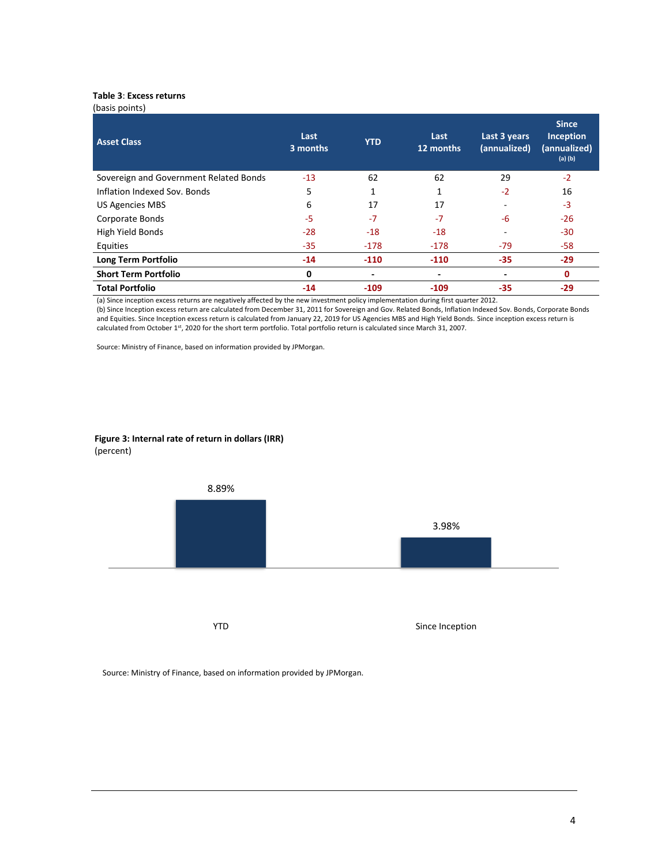## **Table 3**: **Excess returns**

| (basis points)                         |                  |            |                   |                              |                                                          |
|----------------------------------------|------------------|------------|-------------------|------------------------------|----------------------------------------------------------|
| <b>Asset Class</b>                     | Last<br>3 months | <b>YTD</b> | Last<br>12 months | Last 3 years<br>(annualized) | <b>Since</b><br>Inception<br>(annualized)<br>$(a)$ $(b)$ |
| Sovereign and Government Related Bonds | $-13$            | 62         | 62                | 29                           | $-2$                                                     |
| Inflation Indexed Sov. Bonds           | 5                | 1          |                   | $-2$                         | 16                                                       |
| <b>US Agencies MBS</b>                 | 6                | 17         | 17                |                              | $-3$                                                     |
| Corporate Bonds                        | -5               | $-7$       | $-7$              | -6                           | $-26$                                                    |
| High Yield Bonds                       | $-28$            | $-18$      | $-18$             |                              | $-30$                                                    |
| Equities                               | $-35$            | $-178$     | $-178$            | $-79$                        | $-58$                                                    |
| Long Term Portfolio                    | $-14$            | $-110$     | $-110$            | $-35$                        | $-29$                                                    |
| <b>Short Term Portfolio</b>            | 0                | ٠          | -                 | ٠                            | $\mathbf 0$                                              |
| <b>Total Portfolio</b>                 | $-14$            | $-109$     | $-109$            | $-35$                        | -29                                                      |

(a) Since inception excess returns are negatively affected by the new investment policy implementation during first quarter 2012.

(b) Since Inception excess return are calculated from December 31, 2011 for Sovereign and Gov. Related Bonds, Inflation Indexed Sov. Bonds, Corporate Bonds and Equities. Since Inception excess return is calculated from January 22, 2019 for US Agencies MBS and High Yield Bonds. Since inception excess return is calculated from October 1st, 2020 for the short term portfolio. Total portfolio return is calculated since March 31, 2007.

Source: Ministry of Finance, based on information provided by JPMorgan.

## **Figure 3: Internal rate of return in dollars (IRR)** (percent)

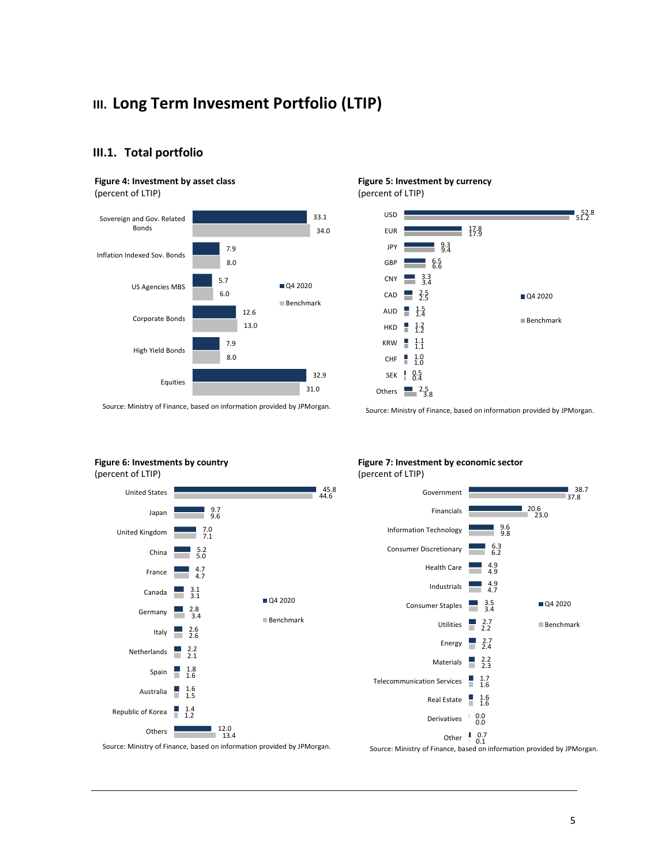## **III. Long Term Invesment Portfolio (LTIP)**

## **III.1. Total portfolio**

#### **Figure 4: Investment by asset class**

(percent of LTIP)



#### **Figure 5: Investment by currency** (percent of LTIP)

52.8 51.2 17.8 17.9 9.3 9.4 6.5 6.6  $CNY = \frac{3.3}{3.4}$  $CAD = \frac{2.5}{2.5}$ AUD  $\frac{1.5}{1.4}$  $HKD = \frac{1}{1.2}$  $KRW = 1.1$  $CHF = 1.0$ 0.5 0.4 SEK Others  $\frac{1}{3.8}$ USD EUR JPY GBP Q4 2020 Benchmark

Source: Ministry of Finance, based on information provided by JPMorgan.

Source: Ministry of Finance, based on information provided by JPMorgan.

## **Figure 6: Investments by country**



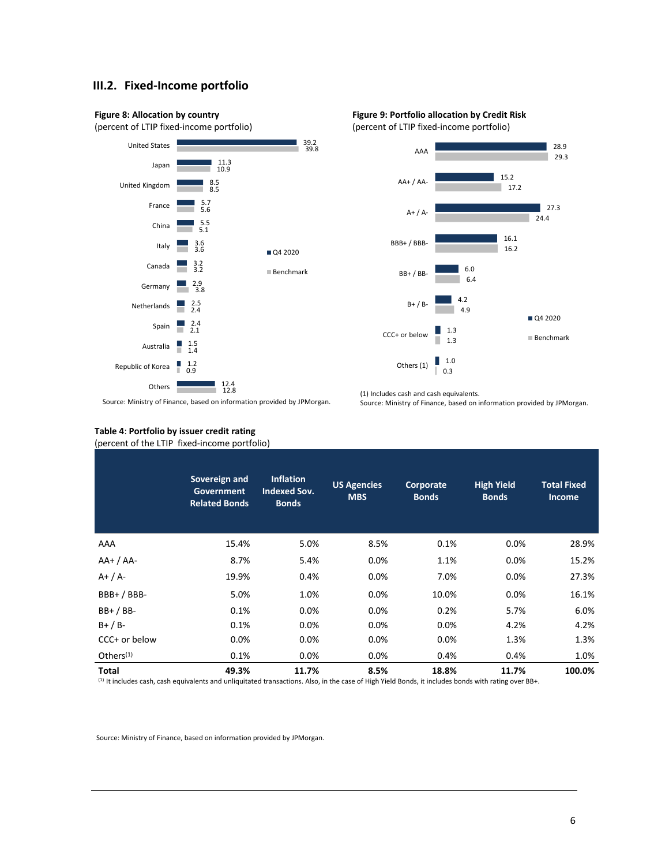## **III.2. Fixed-Income portfolio**





(1) Includes cash and cash equivalents.



Source: Ministry of Finance, based on information provided by JPMorgan.

## **Table 4**: **Portfolio by issuer credit rating**

(percent of the LTIP fixed-income portfolio)

|               | Sovereign and<br>Government<br><b>Related Bonds</b> | <b>Inflation</b><br><b>Indexed Sov.</b><br><b>Bonds</b> | <b>US Agencies</b><br><b>MBS</b> | Corporate<br><b>Bonds</b> | <b>High Yield</b><br><b>Bonds</b> | <b>Total Fixed</b><br><b>Income</b> |
|---------------|-----------------------------------------------------|---------------------------------------------------------|----------------------------------|---------------------------|-----------------------------------|-------------------------------------|
| AAA           | 15.4%                                               | 5.0%                                                    | 8.5%                             | 0.1%                      | 0.0%                              | 28.9%                               |
| $AA+ / AA-$   | 8.7%                                                | 5.4%                                                    | 0.0%                             | 1.1%                      | 0.0%                              | 15.2%                               |
| $A+ / A-$     | 19.9%                                               | 0.4%                                                    | 0.0%                             | 7.0%                      | 0.0%                              | 27.3%                               |
| $BBB+ / BBB-$ | 5.0%                                                | 1.0%                                                    | 0.0%                             | 10.0%                     | 0.0%                              | 16.1%                               |
| $BB+ / BB-$   | 0.1%                                                | $0.0\%$                                                 | 0.0%                             | 0.2%                      | 5.7%                              | 6.0%                                |
| $B+ / B-$     | 0.1%                                                | $0.0\%$                                                 | 0.0%                             | 0.0%                      | 4.2%                              | 4.2%                                |
| CCC+ or below | $0.0\%$                                             | 0.0%                                                    | 0.0%                             | 0.0%                      | 1.3%                              | 1.3%                                |
| Others $(1)$  | 0.1%                                                | $0.0\%$                                                 | $0.0\%$                          | 0.4%                      | 0.4%                              | 1.0%                                |
| <b>Total</b>  | 49.3%                                               | 11.7%                                                   | 8.5%                             | 18.8%                     | 11.7%                             | 100.0%                              |

(1) It includes cash, cash equivalents and unliquitated transactions. Also, in the case of High Yield Bonds, it includes bonds with rating over BB+.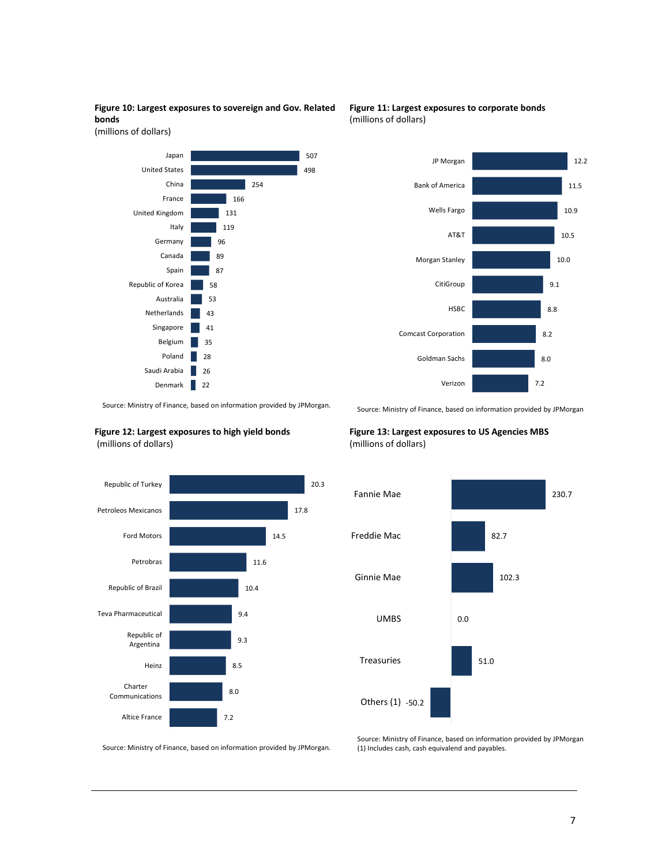## **Figure 10: Largest exposures to sovereign and Gov. Related bonds**

(millions of dollars)



**Figure 11: Largest exposures to corporate bonds** (millions of dollars)



Source: Ministry of Finance, based on information provided by JPMorgan. .

#### **Figure 12: Largest exposures to high yield bonds** (millions of dollars)



Source: Ministry of Finance, based on information provided by JPMorgan

## **Figure 13: Largest exposures to US Agencies MBS**  (millions of dollars)



Source: Ministry of Finance, based on information provided by JPMorgan.

Source: Ministry of Finance, based on information provided by JPMorgan (1) Includes cash, cash equivalend and payables.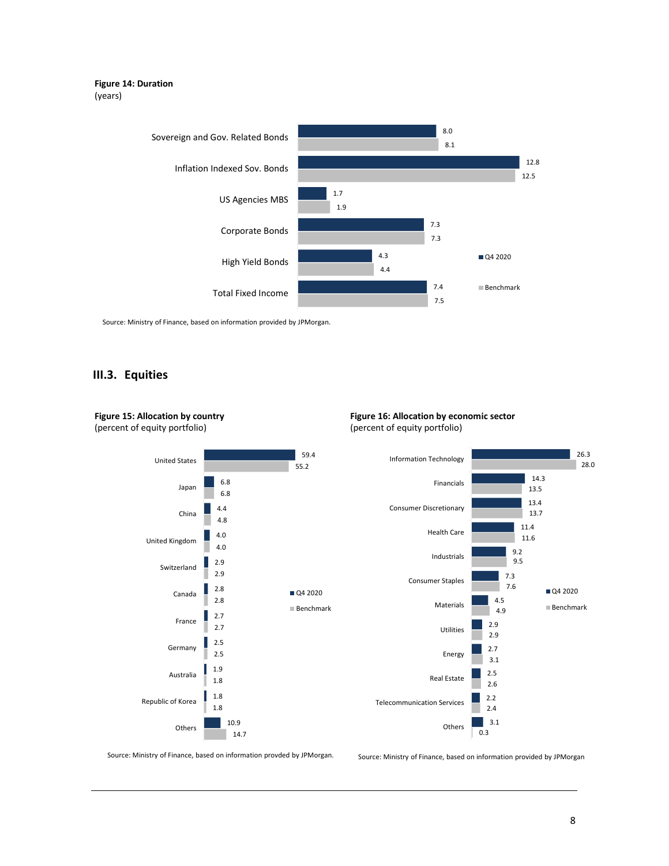### **Figure 14: Duration** (years)



Source: Ministry of Finance, based on information provided by JPMorgan.

## **III.3. Equities**

**Figure 15: Allocation by country**



**Figure 16: Allocation by economic sector** (percent of equity portfolio)

Source: Ministry of Finance, based on information provded by JPMorgan.

Source: Ministry of Finance, based on information provided by JPMorgan

26.3

Q4 2020 Benchmark

28.0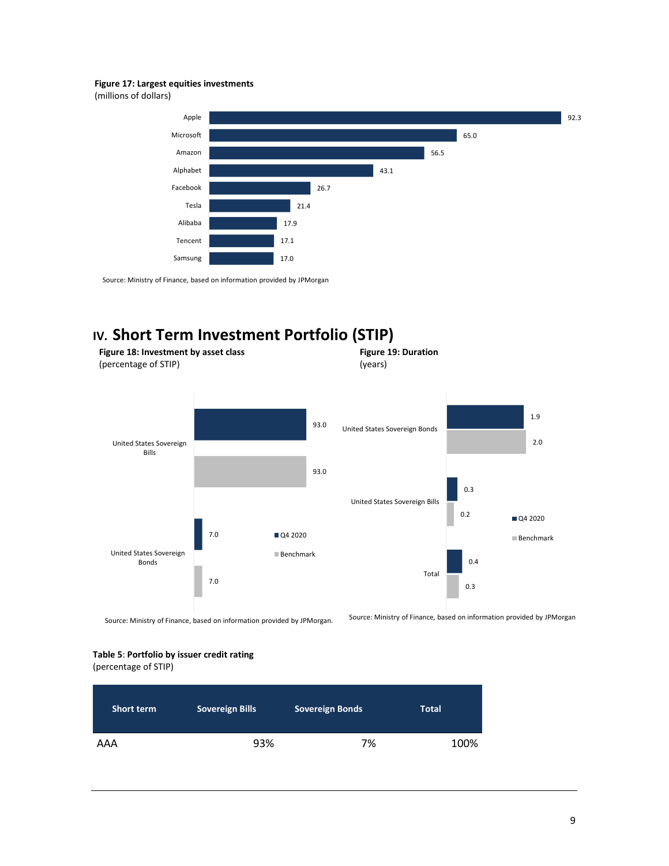#### **Figure 17: Largest equities investments**

(millions of dollars)



Source: Ministry of Finance, based on information provided by JPMorgan

## **IV. Short Term Investment Portfolio (STIP)**



**Table 5**: **Portfolio by issuer credit rating**

(percentage of STIP)

| <b>Short term</b> | <b>Sovereign Bills</b> | <b>Sovereign Bonds</b> | <b>Total</b> |
|-------------------|------------------------|------------------------|--------------|
| AAA               | 93%                    | 7%                     | 100%         |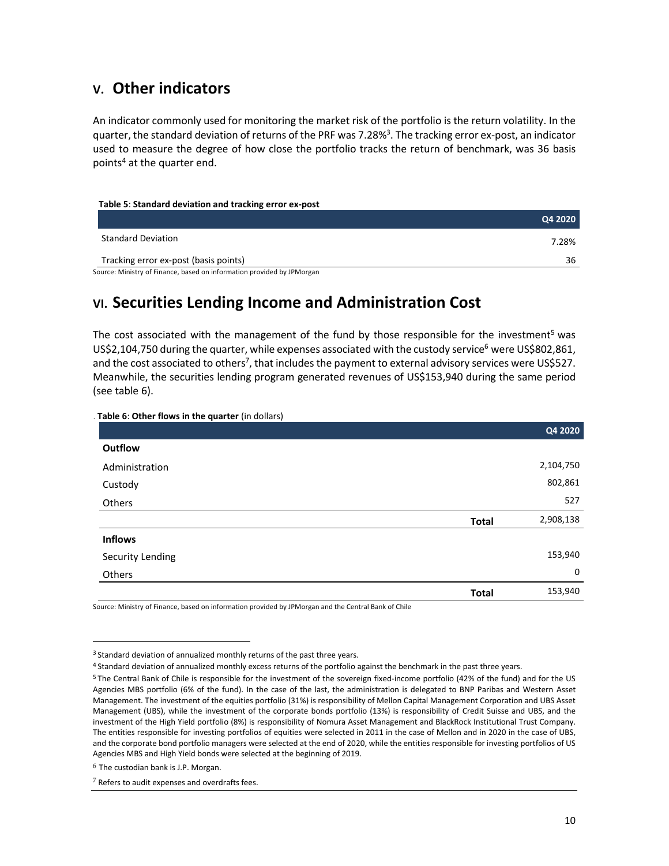## **V. Other indicators**

An indicator commonly used for monitoring the market risk of the portfolio is the return volatility. In the quarter, the standard deviation of returns of the PRF was 7.28%<sup>3</sup>. The tracking error ex-post, an indicator used to measure the degree of how close the portfolio tracks the return of benchmark, was 36 basis points<sup>4</sup> at the quarter end.

#### **Table 5**: **Standard deviation and tracking error ex-post**

|                                       | Q4 2020 |
|---------------------------------------|---------|
| <b>Standard Deviation</b>             | 7.28%   |
| Tracking error ex-post (basis points) | 36      |

Source: Ministry of Finance, based on information provided by JPMorgan

## **VI. Securities Lending Income and Administration Cost**

The cost associated with the management of the fund by those responsible for the investment<sup>5</sup> was US\$2,104,750 during the quarter, while expenses associated with the custody service<sup>6</sup> were US\$802,861, and the cost associated to others<sup>7</sup>, that includes the payment to external advisory services were US\$527. Meanwhile, the securities lending program generated revenues of US\$153,940 during the same period (see table 6).

| Table 6: Other flows in the quarter (in dollars) |              |           |
|--------------------------------------------------|--------------|-----------|
|                                                  |              | Q4 2020   |
| Outflow                                          |              |           |
| Administration                                   |              | 2,104,750 |
| Custody                                          |              | 802,861   |
| Others                                           |              | 527       |
|                                                  | <b>Total</b> | 2,908,138 |
| <b>Inflows</b>                                   |              |           |
| Security Lending                                 |              | 153,940   |
| Others                                           |              | 0         |
|                                                  | <b>Total</b> | 153,940   |

Source: Ministry of Finance, based on information provided by JPMorgan and the Central Bank of Chile

 $\overline{a}$ 

<sup>&</sup>lt;sup>3</sup> Standard deviation of annualized monthly returns of the past three years.

<sup>4</sup> Standard deviation of annualized monthly excess returns of the portfolio against the benchmark in the past three years.

<sup>5</sup> The Central Bank of Chile is responsible for the investment of the sovereign fixed-income portfolio (42% of the fund) and for the US Agencies MBS portfolio (6% of the fund). In the case of the last, the administration is delegated to BNP Paribas and Western Asset Management. The investment of the equities portfolio (31%) is responsibility of Mellon Capital Management Corporation and UBS Asset Management (UBS), while the investment of the corporate bonds portfolio (13%) is responsibility of Credit Suisse and UBS, and the investment of the High Yield portfolio (8%) is responsibility of Nomura Asset Management and BlackRock Institutional Trust Company. The entities responsible for investing portfolios of equities were selected in 2011 in the case of Mellon and in 2020 in the case of UBS, and the corporate bond portfolio managers were selected at the end of 2020, while the entities responsible for investing portfolios of US Agencies MBS and High Yield bonds were selected at the beginning of 2019.

 $6$  The custodian bank is J.P. Morgan.

<sup>7</sup> Refers to audit expenses and overdrafts fees.